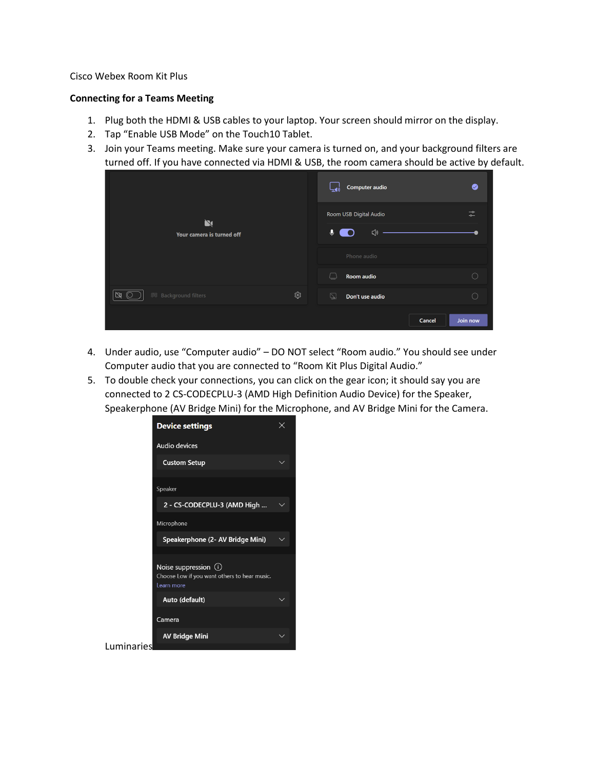## Cisco Webex Room Kit Plus

## **Connecting for a Teams Meeting**

- 1. Plug both the HDMI & USB cables to your laptop. Your screen should mirror on the display.
- 2. Tap "Enable USB Mode" on the Touch10 Tablet.
- 3. Join your Teams meeting. Make sure your camera is turned on, and your background filters are turned off. If you have connected via HDMI & USB, the room camera should be active by default.

| $\mathbf{N}$<br>Your camera is turned off       |     | Computer audio                      | ◙                                         |
|-------------------------------------------------|-----|-------------------------------------|-------------------------------------------|
|                                                 |     | Room USB Digital Audio              | $\rightarrow$<br>$\overline{\phantom{0}}$ |
|                                                 |     | $\ddot{\bullet}$<br>$\triangleleft$ |                                           |
|                                                 |     | Phone audio                         |                                           |
|                                                 |     | Room audio                          |                                           |
| <sup>经</sup> Background filters<br>$\mathbb{M}$ | ঞ্জ | Q<br>Don't use audio                | C                                         |
|                                                 |     | Cancel                              | Join now                                  |

- 4. Under audio, use "Computer audio" DO NOT select "Room audio." You should see under Computer audio that you are connected to "Room Kit Plus Digital Audio."
- 5. To double check your connections, you can click on the gear icon; it should say you are connected to 2 CS-CODECPLU-3 (AMD High Definition Audio Device) for the Speaker, Speakerphone (AV Bridge Mini) for the Microphone, and AV Bridge Mini for the Camera.

|            | <b>Device settings</b>                                                              |  |
|------------|-------------------------------------------------------------------------------------|--|
|            | Audio devices                                                                       |  |
|            | <b>Custom Setup</b>                                                                 |  |
|            | Speaker                                                                             |  |
|            | 2 - CS-CODECPLU-3 (AMD High                                                         |  |
|            | Microphone                                                                          |  |
|            | Speakerphone (2- AV Bridge Mini)                                                    |  |
|            | Noise suppression (i)<br>Choose Low if you want others to hear music.<br>Learn more |  |
|            | Auto (default)                                                                      |  |
|            | Camera                                                                              |  |
|            | <b>AV Bridge Mini</b>                                                               |  |
| Luminaries |                                                                                     |  |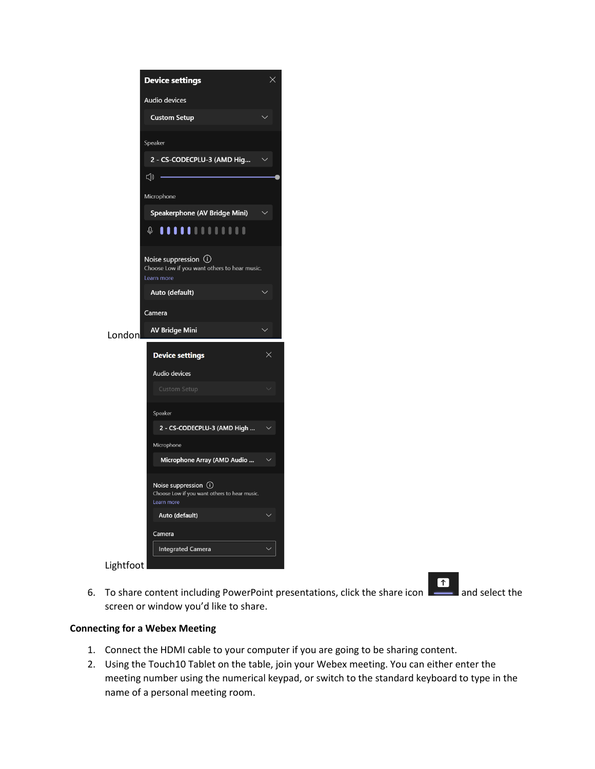|        | <b>Device settings</b>                                                                | $\times$ |
|--------|---------------------------------------------------------------------------------------|----------|
|        | <b>Audio devices</b>                                                                  |          |
|        | <b>Custom Setup</b>                                                                   |          |
|        | Speaker                                                                               |          |
|        | 2 - CS-CODECPLU-3 (AMD Hig                                                            |          |
|        | ζĪν                                                                                   |          |
|        | Microphone                                                                            |          |
|        | Speakerphone (AV Bridge Mini)                                                         |          |
|        | 0 <b>11111</b> 1111111                                                                |          |
|        | Noise suppression $(i)$<br>Choose Low if you want others to hear music.<br>Learn more |          |
|        | Auto (default)                                                                        |          |
|        | Camera                                                                                |          |
|        |                                                                                       |          |
| London | <b>AV Bridge Mini</b>                                                                 |          |
|        | <b>Device settings</b>                                                                | $\times$ |
|        | Audio devices                                                                         |          |
|        | <b>Custom Setup</b>                                                                   |          |
|        | Speaker                                                                               |          |
|        | 2 - CS-CODECPLU-3 (AMD High                                                           |          |
|        | Microphone                                                                            |          |
|        | Microphone Array (AMD Audio                                                           |          |
|        | Noise suppression (i)<br>Choose Low if you want others to hear music.<br>Learn more   |          |
|        | Auto (default)                                                                        |          |
|        | Camera                                                                                |          |
|        | <b>Integrated Camera</b>                                                              |          |

6. To share content including PowerPoint presentations, click the share icon  $\begin{array}{|c|c|c|}\hline \textbf{f} & \textbf{a} & \textbf{a} \\ \hline \end{array}$  and select the screen or window you'd like to share.

## **Connecting for a Webex Meeting**

- 1. Connect the HDMI cable to your computer if you are going to be sharing content.
- 2. Using the Touch10 Tablet on the table, join your Webex meeting. You can either enter the meeting number using the numerical keypad, or switch to the standard keyboard to type in the name of a personal meeting room.